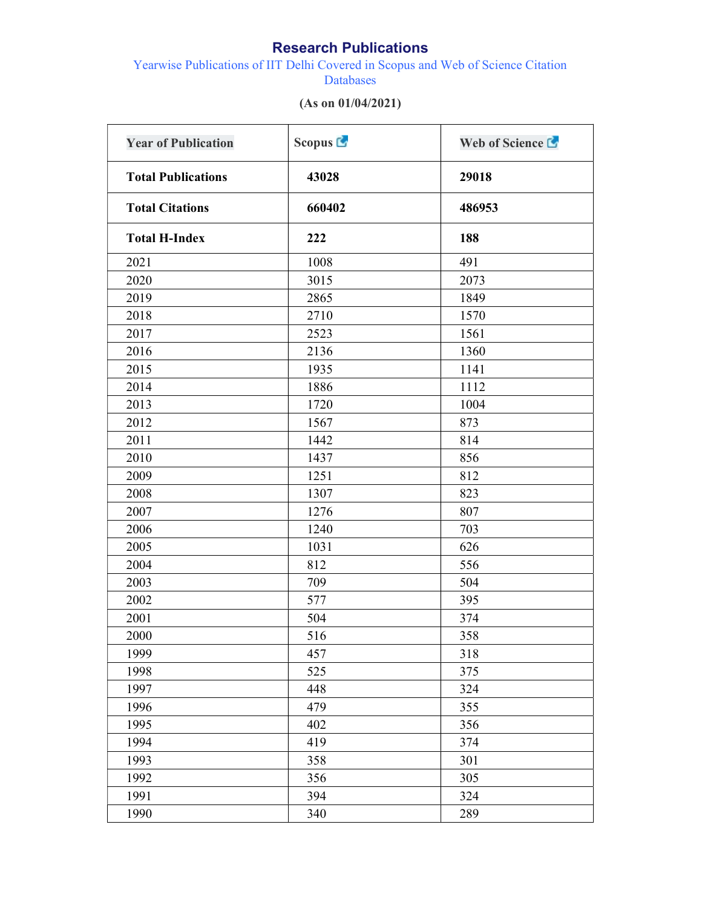## Research Publications

Yearwise Publications of IIT Delhi Covered in Scopus and Web of Science Citation Databases

| <b>Year of Publication</b><br><b>Total Publications</b><br><b>Total Citations</b> | Scopus <sup>C</sup><br>43028<br>660402 | Web of Science L<br>29018<br>486953 |                      |      |     |
|-----------------------------------------------------------------------------------|----------------------------------------|-------------------------------------|----------------------|------|-----|
|                                                                                   |                                        |                                     | <b>Total H-Index</b> | 222  | 188 |
|                                                                                   |                                        |                                     | 2021                 | 1008 | 491 |
| 2020                                                                              | 3015                                   | 2073                                |                      |      |     |
| 2019                                                                              | 2865                                   | 1849                                |                      |      |     |
| 2018                                                                              | 2710                                   | 1570                                |                      |      |     |
| 2017                                                                              | 2523                                   | 1561                                |                      |      |     |
| 2016                                                                              | 2136                                   | 1360                                |                      |      |     |
| 2015                                                                              | 1935                                   | 1141                                |                      |      |     |
| 2014                                                                              | 1886                                   | 1112                                |                      |      |     |
| 2013                                                                              | 1720                                   | 1004                                |                      |      |     |
| 2012                                                                              | 1567                                   | 873                                 |                      |      |     |
| 2011                                                                              | 1442                                   | 814                                 |                      |      |     |
| 2010                                                                              | 1437                                   | 856                                 |                      |      |     |
| 2009                                                                              | 1251                                   | 812                                 |                      |      |     |
| 2008                                                                              | 1307                                   | 823                                 |                      |      |     |
| 2007                                                                              | 1276                                   | 807                                 |                      |      |     |
| 2006                                                                              | 1240                                   | 703                                 |                      |      |     |
| 2005                                                                              | 1031                                   | 626                                 |                      |      |     |
| 2004                                                                              | 812                                    | 556                                 |                      |      |     |
| 2003                                                                              | 709                                    | 504                                 |                      |      |     |
| 2002                                                                              | 577                                    | 395                                 |                      |      |     |
| 2001                                                                              | 504                                    | 374                                 |                      |      |     |
| 2000                                                                              | 516                                    | 358                                 |                      |      |     |
| 1999                                                                              | 457                                    | 318                                 |                      |      |     |
| 1998                                                                              | 525                                    | 375                                 |                      |      |     |
| 1997                                                                              | 448                                    | 324                                 |                      |      |     |
| 1996                                                                              | 479                                    | 355                                 |                      |      |     |
| 1995                                                                              | 402                                    | 356                                 |                      |      |     |
| 1994                                                                              | 419                                    | 374                                 |                      |      |     |
| 1993                                                                              | 358                                    | 301                                 |                      |      |     |
| 1992                                                                              | 356                                    | 305                                 |                      |      |     |
| 1991                                                                              | 394                                    | 324                                 |                      |      |     |
| 1990                                                                              | 340                                    | 289                                 |                      |      |     |

## (As on 01/04/2021)